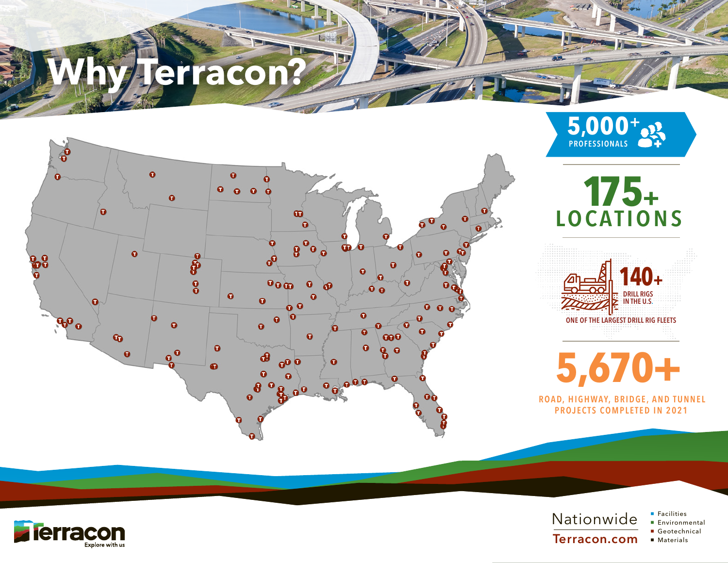# **Jerracon?**









**5,670+** ROAD, HIGHWAY, BRIDGE, AND TUNNEL

PROJECTS COMPLETED IN 2021